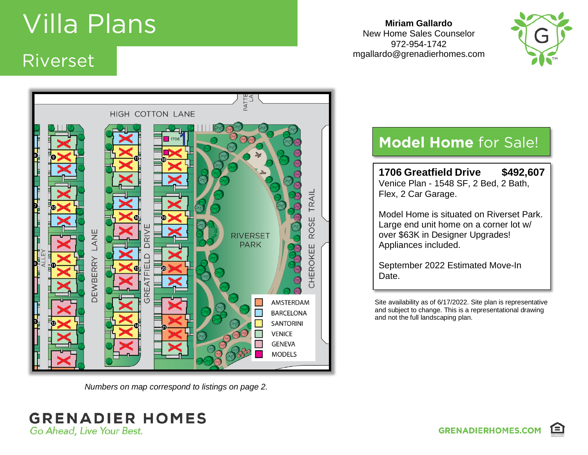# **Villa Plans**<br>Riverset

### Riverset

HIGH COTTON LANE TRAIL **ROSE ANE DRIV RIVERSET PARK** CHEROKEE **DEWBERRY** īп īτ ய  $\overline{\alpha}$ AMSTERDAM **BARCELONA SANTORINI VENICE GENEVA MODELS** 

*Numbers on map correspond to listings on page 2.*

#### **Miriam Gallardo** New Home Sales Counselor 972-954-1742 mgallardo@grenadierhomes.com



### **Model Home** for Sale!

**1706 Greatfield Drive \$492,607** Venice Plan - 1548 SF, 2 Bed, 2 Bath, Flex, 2 Car Garage.

Model Home is situated on Riverset Park. Large end unit home on a corner lot w/ over \$63K in Designer Upgrades! Appliances included.

September 2022 Estimated Move-In Date.

Site availability as of 6/17/2022. Site plan is representative and subject to change. This is a representational drawing and not the full landscaping plan.

**GRENADIER HOMES** Go Ahead, Live Your Best.